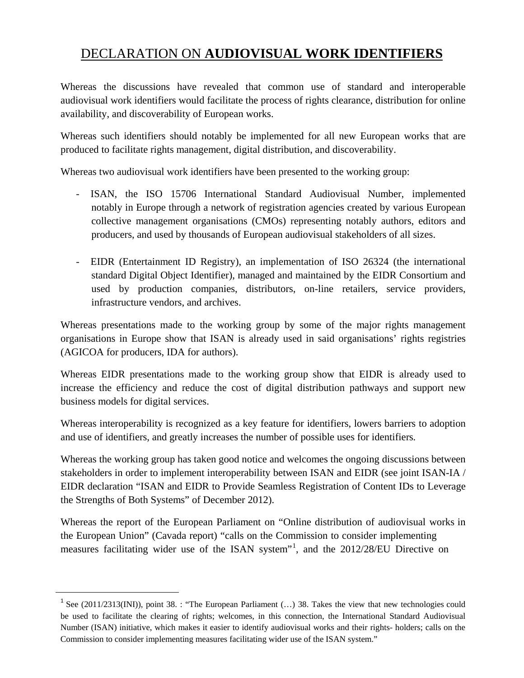## DECLARATION ON **AUDIOVISUAL WORK IDENTIFIERS**

Whereas the discussions have revealed that common use of standard and interoperable audiovisual work identifiers would facilitate the process of rights clearance, distribution for online availability, and discoverability of European works.

Whereas such identifiers should notably be implemented for all new European works that are produced to facilitate rights management, digital distribution, and discoverability.

Whereas two audiovisual work identifiers have been presented to the working group:

- ISAN, the ISO 15706 International Standard Audiovisual Number, implemented notably in Europe through a network of registration agencies created by various European collective management organisations (CMOs) representing notably authors, editors and producers, and used by thousands of European audiovisual stakeholders of all sizes.
- EIDR (Entertainment ID Registry), an implementation of ISO 26324 (the international standard Digital Object Identifier), managed and maintained by the EIDR Consortium and used by production companies, distributors, on-line retailers, service providers, infrastructure vendors, and archives.

Whereas presentations made to the working group by some of the major rights management organisations in Europe show that ISAN is already used in said organisations' rights registries (AGICOA for producers, IDA for authors).

Whereas EIDR presentations made to the working group show that EIDR is already used to increase the efficiency and reduce the cost of digital distribution pathways and support new business models for digital services.

Whereas interoperability is recognized as a key feature for identifiers, lowers barriers to adoption and use of identifiers, and greatly increases the number of possible uses for identifiers*.*

Whereas the working group has taken good notice and welcomes the ongoing discussions between stakeholders in order to implement interoperability between ISAN and EIDR (see joint ISAN-IA / EIDR declaration "ISAN and EIDR to Provide Seamless Registration of Content IDs to Leverage the Strengths of Both Systems" of December 2012).

Whereas the report of the European Parliament on "Online distribution of audiovisual works in the European Union" (Cavada report) "calls on the Commission to consider implementing measures facilitating wider use of the ISAN system"<sup>[1](#page-0-0)</sup>, and the 2012/28/EU Directive on

<span id="page-0-0"></span><sup>&</sup>lt;sup>1</sup> See (2011/2313(INI)), point 38. : "The European Parliament (...) 38. Takes the view that new technologies could be used to facilitate the clearing of rights; welcomes, in this connection, the International Standard Audiovisual Number (ISAN) initiative, which makes it easier to identify audiovisual works and their rights- holders; calls on the Commission to consider implementing measures facilitating wider use of the ISAN system."